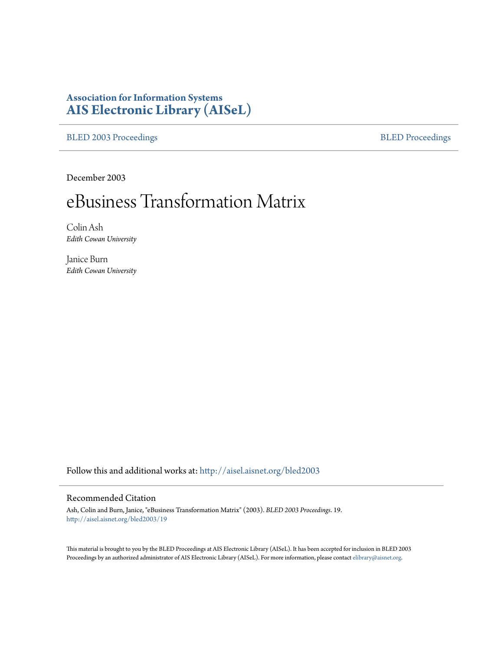# **Association for Information Systems [AIS Electronic Library \(AISeL\)](http://aisel.aisnet.org?utm_source=aisel.aisnet.org%2Fbled2003%2F19&utm_medium=PDF&utm_campaign=PDFCoverPages)**

[BLED 2003 Proceedings](http://aisel.aisnet.org/bled2003?utm_source=aisel.aisnet.org%2Fbled2003%2F19&utm_medium=PDF&utm_campaign=PDFCoverPages) **[BLED Proceedings](http://aisel.aisnet.org/bled?utm_source=aisel.aisnet.org%2Fbled2003%2F19&utm_medium=PDF&utm_campaign=PDFCoverPages)** 

December 2003

# eBusiness Transformation Matrix

Colin Ash *Edith Cowan University*

Janice Burn *Edith Cowan University*

Follow this and additional works at: [http://aisel.aisnet.org/bled2003](http://aisel.aisnet.org/bled2003?utm_source=aisel.aisnet.org%2Fbled2003%2F19&utm_medium=PDF&utm_campaign=PDFCoverPages)

#### Recommended Citation

Ash, Colin and Burn, Janice, "eBusiness Transformation Matrix" (2003). *BLED 2003 Proceedings*. 19. [http://aisel.aisnet.org/bled2003/19](http://aisel.aisnet.org/bled2003/19?utm_source=aisel.aisnet.org%2Fbled2003%2F19&utm_medium=PDF&utm_campaign=PDFCoverPages)

This material is brought to you by the BLED Proceedings at AIS Electronic Library (AISeL). It has been accepted for inclusion in BLED 2003 Proceedings by an authorized administrator of AIS Electronic Library (AISeL). For more information, please contact [elibrary@aisnet.org](mailto:elibrary@aisnet.org%3E).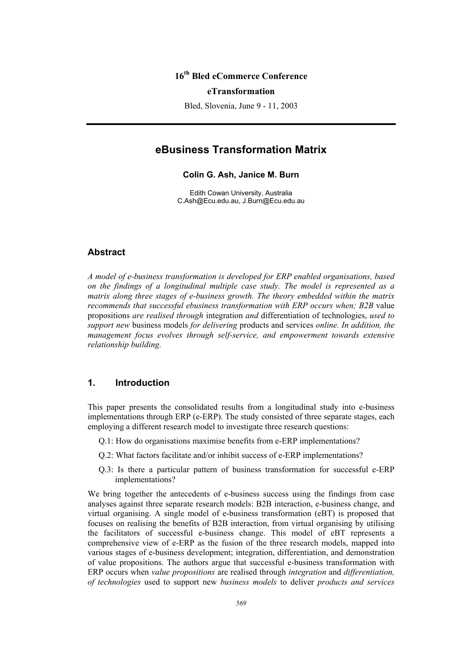# **16th Bled eCommerce Conference**

#### **eTransformation**

Bled, Slovenia, June 9 - 11, 2003

# **eBusiness Transformation Matrix**

**Colin G. Ash, Janice M. Burn** 

Edith Cowan University, Australia C.Ash@Ecu.edu.au, J.Burn@Ecu.edu.au

#### **Abstract**

*A model of e-business transformation is developed for ERP enabled organisations, based on the findings of a longitudinal multiple case study. The model is represented as a matrix along three stages of e-business growth. The theory embedded within the matrix recommends that successful ebusiness transformation with ERP occurs when; B2B* value propositions *are realised through* integration *and* differentiation of technologies, *used to support new* business models *for delivering* products and services *online. In addition, the management focus evolves through self-service, and empowerment towards extensive relationship building.* 

## **1. Introduction**

This paper presents the consolidated results from a longitudinal study into e-business implementations through ERP (e-ERP). The study consisted of three separate stages, each employing a different research model to investigate three research questions:

- Q.1: How do organisations maximise benefits from e-ERP implementations?
- Q.2: What factors facilitate and/or inhibit success of e-ERP implementations?
- Q.3: Is there a particular pattern of business transformation for successful e-ERP implementations?

We bring together the antecedents of e-business success using the findings from case analyses against three separate research models: B2B interaction, e-business change, and virtual organising. A single model of e-business transformation (eBT) is proposed that focuses on realising the benefits of B2B interaction, from virtual organising by utilising the facilitators of successful e-business change. This model of eBT represents a comprehensive view of e-ERP as the fusion of the three research models, mapped into various stages of e-business development; integration, differentiation, and demonstration of value propositions. The authors argue that successful e-business transformation with ERP occurs when *value propositions* are realised through *integration* and *differentiation, of technologies* used to support new *business models* to deliver *products and services*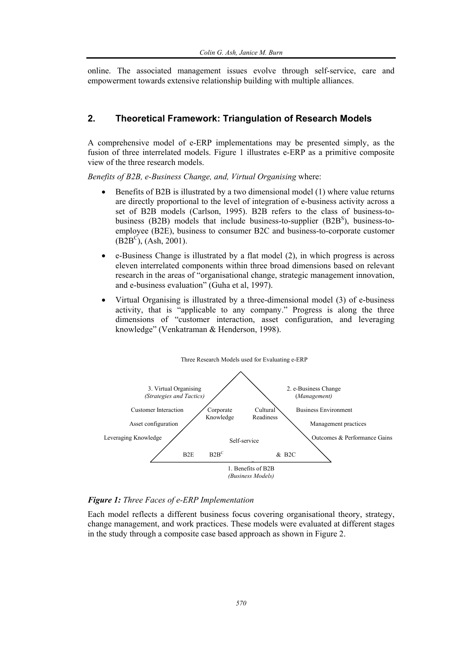online. The associated management issues evolve through self-service, care and empowerment towards extensive relationship building with multiple alliances.

# **2. Theoretical Framework: Triangulation of Research Models**

A comprehensive model of e-ERP implementations may be presented simply, as the fusion of three interrelated models. Figure 1 illustrates e-ERP as a primitive composite view of the three research models.

*Benefits of B2B, e-Business Change, and, Virtual Organising* where:

- Benefits of B2B is illustrated by a two dimensional model (1) where value returns are directly proportional to the level of integration of e-business activity across a set of B2B models (Carlson, 1995). B2B refers to the class of business-tobusiness (B2B) models that include business-to-supplier  $(B2B<sup>S</sup>)$ , business-toemployee (B2E), business to consumer B2C and business-to-corporate customer  $(B2B^C)$ , (Ash, 2001).
- e-Business Change is illustrated by a flat model (2), in which progress is across eleven interrelated components within three broad dimensions based on relevant research in the areas of "organisational change, strategic management innovation, and e-business evaluation" (Guha et al, 1997).
- Virtual Organising is illustrated by a three-dimensional model (3) of e-business activity, that is "applicable to any company." Progress is along the three dimensions of "customer interaction, asset configuration, and leveraging knowledge" (Venkatraman & Henderson, 1998).



#### *Figure 1: Three Faces of e-ERP Implementation*

Each model reflects a different business focus covering organisational theory, strategy, change management, and work practices. These models were evaluated at different stages in the study through a composite case based approach as shown in Figure 2.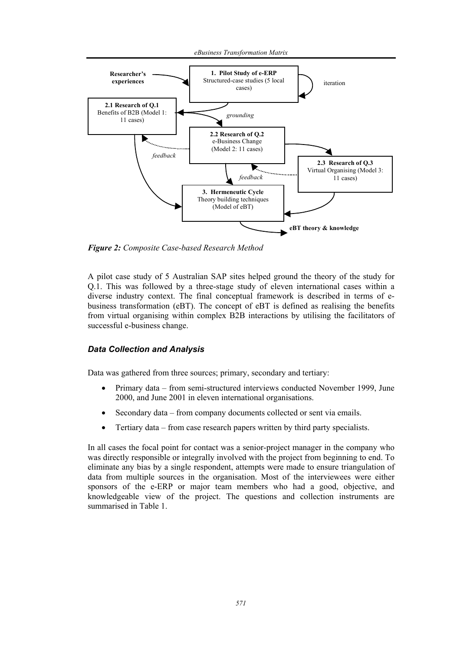*eBusiness Transformation Matrix* 



*Figure 2: Composite Case-based Research Method* 

A pilot case study of 5 Australian SAP sites helped ground the theory of the study for Q.1. This was followed by a three-stage study of eleven international cases within a diverse industry context. The final conceptual framework is described in terms of ebusiness transformation (eBT). The concept of eBT is defined as realising the benefits from virtual organising within complex B2B interactions by utilising the facilitators of successful e-business change.

#### *Data Collection and Analysis*

Data was gathered from three sources; primary, secondary and tertiary:

- Primary data from semi-structured interviews conducted November 1999, June 2000, and June 2001 in eleven international organisations.
- Secondary data from company documents collected or sent via emails.
- Tertiary data from case research papers written by third party specialists.

In all cases the focal point for contact was a senior-project manager in the company who was directly responsible or integrally involved with the project from beginning to end. To eliminate any bias by a single respondent, attempts were made to ensure triangulation of data from multiple sources in the organisation. Most of the interviewees were either sponsors of the e-ERP or major team members who had a good, objective, and knowledgeable view of the project. The questions and collection instruments are summarised in Table 1.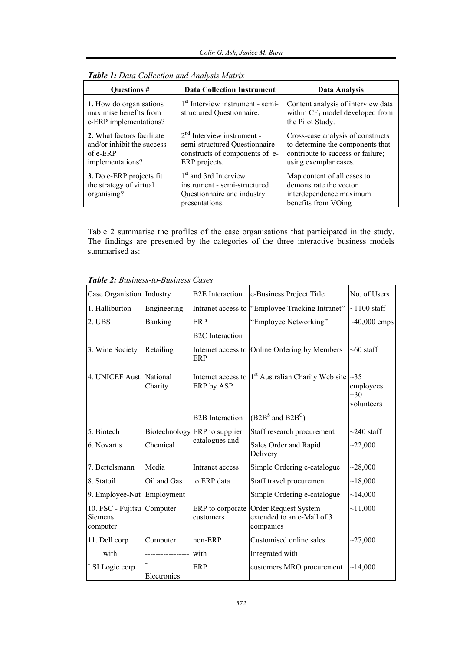| <b>Data Collection Instrument</b><br><b>Ouestions</b> #                                    |                                                                                                                   | Data Analysis                                                                                           |  |
|--------------------------------------------------------------------------------------------|-------------------------------------------------------------------------------------------------------------------|---------------------------------------------------------------------------------------------------------|--|
| 1. How do organisations<br>maximise benefits from<br>e-ERP implementations?                | $1st$ Interview instrument - semi-<br>structured Questionnaire.                                                   | Content analysis of interview data<br>within $CF_1$ model developed from<br>the Pilot Study.            |  |
| 2. What factors facilitate<br>and/or inhibit the success<br>$of e-ERP$<br>implementations? | $2nd$ Interview instrument -<br>semi-structured Questionnaire<br>constructs of components of e-<br>ERP projects.  |                                                                                                         |  |
| 3. Do e-ERP projects fit<br>the strategy of virtual<br>organising?                         | 1 <sup>st</sup> and 3rd Interview<br>instrument - semi-structured<br>Questionnaire and industry<br>presentations. | Map content of all cases to<br>demonstrate the vector<br>interdependence maximum<br>benefits from VOing |  |

|  |  | Table 1: Data Collection and Analysis Matrix |
|--|--|----------------------------------------------|
|--|--|----------------------------------------------|

Table 2 summarise the profiles of the case organisations that participated in the study. The findings are presented by the categories of the three interactive business models summarised as:

| Case Organistion   Industry                       |                 | <b>B2E</b> Interaction           | e-Business Project Title                                        | No. of Users                                  |
|---------------------------------------------------|-----------------|----------------------------------|-----------------------------------------------------------------|-----------------------------------------------|
| 1. Halliburton                                    | Engineering     | Intranet access to               | "Employee Tracking Intranet"                                    | $\sim$ 1100 staff                             |
| 2. UBS                                            | Banking         | ERP                              | "Employee Networking"                                           | $\sim$ 40,000 emps                            |
|                                                   |                 | <b>B2C</b> Interaction           |                                                                 |                                               |
| 3. Wine Society                                   | Retailing       | ERP                              | Internet access to Online Ordering by Members                   | $~10$ staff                                   |
| 4. UNICEF Aust. National                          | Charity         | Internet access to<br>ERP by ASP | 1 <sup>st</sup> Australian Charity Web site                     | $\sim$ 35<br>employees<br>$+30$<br>volunteers |
|                                                   |                 | <b>B2B</b> Interaction           | $(B2BS$ and $B2BC$ )                                            |                                               |
| 5. Biotech                                        |                 | Biotechnology ERP to supplier    | Staff research procurement                                      | $\sim$ 240 staff                              |
| 6. Novartis                                       | Chemical        | catalogues and                   | Sales Order and Rapid<br>Delivery                               | ~22,000                                       |
| 7. Bertelsmann                                    | Media           | Intranet access                  | Simple Ordering e-catalogue                                     | ~28,000                                       |
| 8. Statoil                                        | Oil and Gas     | to ERP data                      | Staff travel procurement                                        | ~18,000                                       |
| 9. Employee-Nat Employment                        |                 |                                  | Simple Ordering e-catalogue                                     | ~14,000                                       |
| 10. FSC - Fujitsu Computer<br>Siemens<br>computer |                 | ERP to corporate<br>customers    | Order Request System<br>extended to an e-Mall of 3<br>companies | ~11,000                                       |
| 11. Dell corp                                     | Computer        | non-ERP                          | Customised online sales                                         | $-27,000$                                     |
| with                                              | --------------- | with                             | Integrated with                                                 |                                               |
| LSI Logic corp                                    | Electronics     | ERP                              | customers MRO procurement                                       | ~14,000                                       |

*Table 2: Business-to-Business Cases*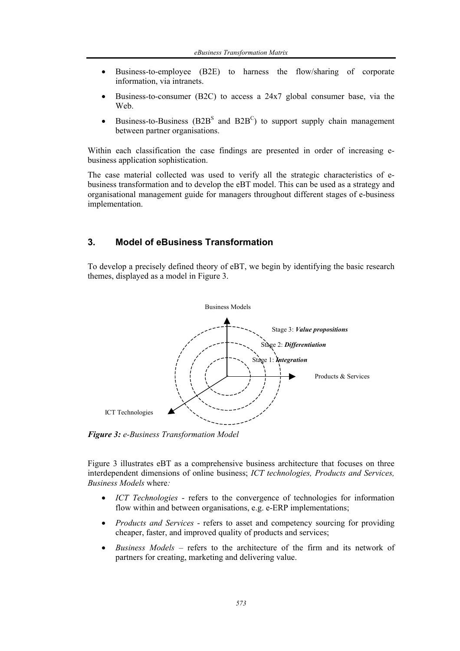- Business-to-employee (B2E) to harness the flow/sharing of corporate information, via intranets.
- Business-to-consumer (B2C) to access a 24x7 global consumer base, via the Web.
- Business-to-Business ( $B2B<sup>S</sup>$  and  $B2B<sup>C</sup>$ ) to support supply chain management between partner organisations.

Within each classification the case findings are presented in order of increasing ebusiness application sophistication.

The case material collected was used to verify all the strategic characteristics of ebusiness transformation and to develop the eBT model. This can be used as a strategy and organisational management guide for managers throughout different stages of e-business implementation.

# **3. Model of eBusiness Transformation**

To develop a precisely defined theory of eBT, we begin by identifying the basic research themes, displayed as a model in Figure 3.



*Figure 3: e-Business Transformation Model* 

Figure 3 illustrates eBT as a comprehensive business architecture that focuses on three interdependent dimensions of online business; *ICT technologies, Products and Services, Business Models* where*:*

- *ICT Technologies* refers to the convergence of technologies for information flow within and between organisations, e.g. e-ERP implementations;
- *Products and Services* refers to asset and competency sourcing for providing cheaper, faster, and improved quality of products and services;
- *Business Models* refers to the architecture of the firm and its network of partners for creating, marketing and delivering value.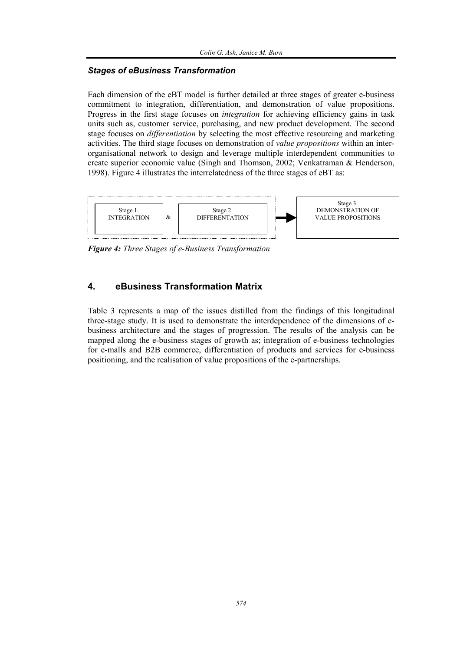#### *Stages of eBusiness Transformation*

Each dimension of the eBT model is further detailed at three stages of greater e-business commitment to integration, differentiation, and demonstration of value propositions. Progress in the first stage focuses on *integration* for achieving efficiency gains in task units such as, customer service, purchasing, and new product development. The second stage focuses on *differentiation* by selecting the most effective resourcing and marketing activities. The third stage focuses on demonstration of *value propositions* within an interorganisational network to design and leverage multiple interdependent communities to create superior economic value (Singh and Thomson, 2002; Venkatraman & Henderson, 1998). Figure 4 illustrates the interrelatedness of the three stages of eBT as:



*Figure 4: Three Stages of e-Business Transformation* 

# **4. eBusiness Transformation Matrix**

Table 3 represents a map of the issues distilled from the findings of this longitudinal three-stage study. It is used to demonstrate the interdependence of the dimensions of ebusiness architecture and the stages of progression. The results of the analysis can be mapped along the e-business stages of growth as; integration of e-business technologies for e-malls and B2B commerce, differentiation of products and services for e-business positioning, and the realisation of value propositions of the e-partnerships.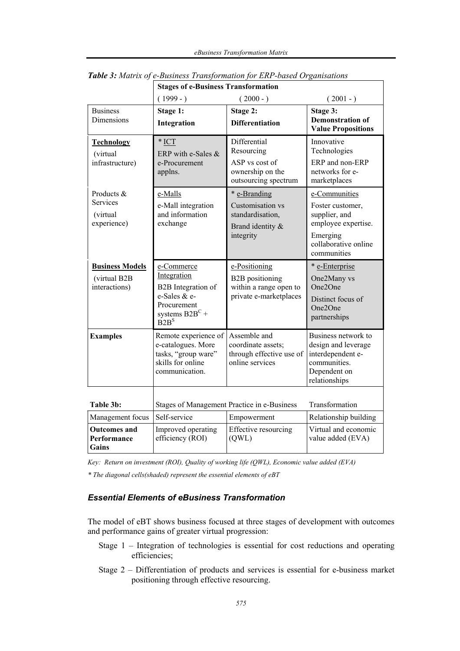|                                                         | <b>Stages of e-Business Transformation</b>                                                                                                          |                                                                                             |                                                                                                                              |  |
|---------------------------------------------------------|-----------------------------------------------------------------------------------------------------------------------------------------------------|---------------------------------------------------------------------------------------------|------------------------------------------------------------------------------------------------------------------------------|--|
|                                                         | $(1999 - )$                                                                                                                                         | $(2000 - )$                                                                                 | $(2001 - )$                                                                                                                  |  |
| <b>Business</b><br>Dimensions                           | Stage 1:<br>Integration                                                                                                                             | Stage 2:<br><b>Differentiation</b>                                                          | Stage 3:<br><b>Demonstration of</b><br><b>Value Propositions</b>                                                             |  |
| <b>Technology</b><br>(virtual<br>infrastructure)        | $*$ ICT<br>ERP with e-Sales $&$<br>e-Procurement<br>applns.                                                                                         | Differential<br>Resourcing<br>ASP vs cost of<br>ownership on the<br>outsourcing spectrum    | Innovative<br>Technologies<br>ERP and non-ERP<br>networks for e-<br>marketplaces                                             |  |
| Products &<br>Services<br>(virtual<br>experience)       | e-Malls<br>e-Mall integration<br>and information<br>exchange                                                                                        | * e-Branding<br>Customisation vs<br>standardisation,<br>Brand identity &<br>integrity       | e-Communities<br>Foster customer,<br>supplier, and<br>employee expertise.<br>Emerging<br>collaborative online<br>communities |  |
| <b>Business Models</b><br>(virtual B2B<br>interactions) | e-Commerce<br>Integration<br>B2B Integration of<br>e-Sales & e-<br>Procurement<br>systems $B2B^C +$<br>$\overline{B}$ <sub>2</sub> $B$ <sup>S</sup> | e-Positioning<br><b>B2B</b> positioning<br>within a range open to<br>private e-marketplaces | * e-Enterprise<br>One2Many vs<br>One <sub>2</sub> One<br>Distinct focus of<br>One <sub>2</sub> One<br>partnerships           |  |
| <b>Examples</b>                                         | Remote experience of<br>e-catalogues. More<br>tasks, "group ware"<br>skills for online<br>communication.                                            | Assemble and<br>coordinate assets;<br>through effective use of<br>online services           | Business network to<br>design and leverage<br>interdependent e-<br>communities.<br>Dependent on<br>relationships             |  |
| Table 3b:                                               | Stages of Management Practice in e-Business                                                                                                         |                                                                                             | Transformation                                                                                                               |  |
| Management focus                                        | Self-service                                                                                                                                        | Empowerment                                                                                 | Relationship building                                                                                                        |  |
| <b>Outcomes and</b><br>Performance<br>Gains             | Improved operating<br>efficiency (ROI)                                                                                                              | Effective resourcing<br>(QWL)                                                               | Virtual and economic<br>value added (EVA)                                                                                    |  |

*Table 3: Matrix of e-Business Transformation for ERP-based Organisations* 

*Key: Return on investment (ROI), Quality of working life (QWL), Economic value added (EVA)* 

*\* The diagonal cells(shaded) represent the essential elements of eBT* 

# *Essential Elements of eBusiness Transformation*

The model of eBT shows business focused at three stages of development with outcomes and performance gains of greater virtual progression:

- Stage 1 Integration of technologies is essential for cost reductions and operating efficiencies;
- Stage 2 Differentiation of products and services is essential for e-business market positioning through effective resourcing.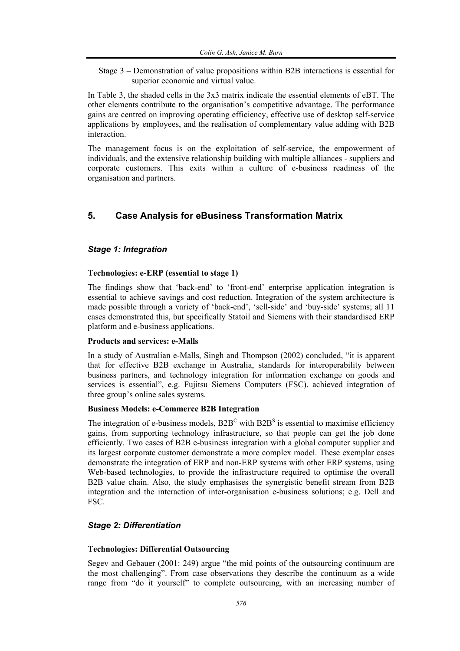Stage 3 – Demonstration of value propositions within B2B interactions is essential for superior economic and virtual value.

In Table 3, the shaded cells in the 3x3 matrix indicate the essential elements of eBT. The other elements contribute to the organisation's competitive advantage. The performance gains are centred on improving operating efficiency, effective use of desktop self-service applications by employees, and the realisation of complementary value adding with B2B interaction.

The management focus is on the exploitation of self-service, the empowerment of individuals, and the extensive relationship building with multiple alliances - suppliers and corporate customers. This exits within a culture of e-business readiness of the organisation and partners.

# **5. Case Analysis for eBusiness Transformation Matrix**

#### *Stage 1: Integration*

#### **Technologies: e-ERP (essential to stage 1)**

The findings show that 'back-end' to 'front-end' enterprise application integration is essential to achieve savings and cost reduction. Integration of the system architecture is made possible through a variety of 'back-end', 'sell-side' and 'buy-side' systems; all 11 cases demonstrated this, but specifically Statoil and Siemens with their standardised ERP platform and e-business applications.

#### **Products and services: e-Malls**

In a study of Australian e-Malls, Singh and Thompson (2002) concluded, "it is apparent that for effective B2B exchange in Australia, standards for interoperability between business partners, and technology integration for information exchange on goods and services is essential", e.g. Fujitsu Siemens Computers (FSC). achieved integration of three group's online sales systems.

#### **Business Models: e-Commerce B2B Integration**

The integration of e-business models,  $B2B^C$  with  $B2B^S$  is essential to maximise efficiency gains, from supporting technology infrastructure, so that people can get the job done efficiently. Two cases of B2B e-business integration with a global computer supplier and its largest corporate customer demonstrate a more complex model. These exemplar cases demonstrate the integration of ERP and non-ERP systems with other ERP systems, using Web-based technologies, to provide the infrastructure required to optimise the overall B2B value chain. Also, the study emphasises the synergistic benefit stream from B2B integration and the interaction of inter-organisation e-business solutions; e.g. Dell and FSC.

#### *Stage 2: Differentiation*

#### **Technologies: Differential Outsourcing**

Segev and Gebauer (2001: 249) argue "the mid points of the outsourcing continuum are the most challenging". From case observations they describe the continuum as a wide range from "do it yourself" to complete outsourcing, with an increasing number of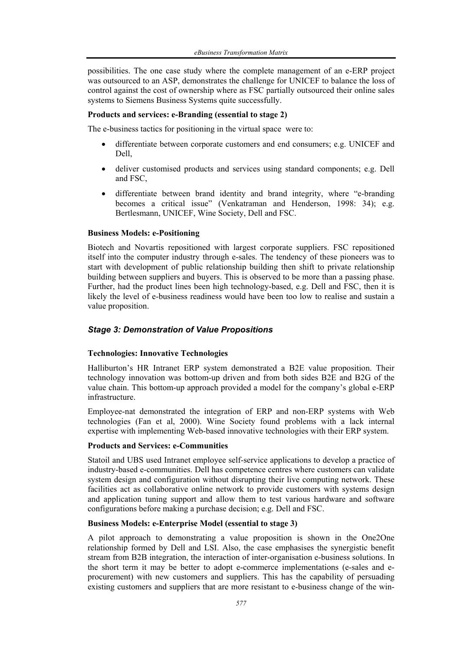possibilities. The one case study where the complete management of an e-ERP project was outsourced to an ASP, demonstrates the challenge for UNICEF to balance the loss of control against the cost of ownership where as FSC partially outsourced their online sales systems to Siemens Business Systems quite successfully.

#### **Products and services: e-Branding (essential to stage 2)**

The e-business tactics for positioning in the virtual space were to:

- differentiate between corporate customers and end consumers; e.g. UNICEF and Dell,
- deliver customised products and services using standard components; e.g. Dell and FSC,
- differentiate between brand identity and brand integrity, where "e-branding" becomes a critical issue" (Venkatraman and Henderson, 1998: 34); e.g. Bertlesmann, UNICEF, Wine Society, Dell and FSC.

#### **Business Models: e-Positioning**

Biotech and Novartis repositioned with largest corporate suppliers. FSC repositioned itself into the computer industry through e-sales. The tendency of these pioneers was to start with development of public relationship building then shift to private relationship building between suppliers and buyers. This is observed to be more than a passing phase. Further, had the product lines been high technology-based, e.g. Dell and FSC, then it is likely the level of e-business readiness would have been too low to realise and sustain a value proposition.

## *Stage 3: Demonstration of Value Propositions*

#### **Technologies: Innovative Technologies**

Halliburton's HR Intranet ERP system demonstrated a B2E value proposition. Their technology innovation was bottom-up driven and from both sides B2E and B2G of the value chain. This bottom-up approach provided a model for the company's global e-ERP infrastructure.

Employee-nat demonstrated the integration of ERP and non-ERP systems with Web technologies (Fan et al, 2000). Wine Society found problems with a lack internal expertise with implementing Web-based innovative technologies with their ERP system.

#### **Products and Services: e-Communities**

Statoil and UBS used Intranet employee self-service applications to develop a practice of industry-based e-communities. Dell has competence centres where customers can validate system design and configuration without disrupting their live computing network. These facilities act as collaborative online network to provide customers with systems design and application tuning support and allow them to test various hardware and software configurations before making a purchase decision; e.g. Dell and FSC.

#### **Business Models: e-Enterprise Model (essential to stage 3)**

A pilot approach to demonstrating a value proposition is shown in the One2One relationship formed by Dell and LSI. Also, the case emphasises the synergistic benefit stream from B2B integration, the interaction of inter-organisation e-business solutions. In the short term it may be better to adopt e-commerce implementations (e-sales and eprocurement) with new customers and suppliers. This has the capability of persuading existing customers and suppliers that are more resistant to e-business change of the win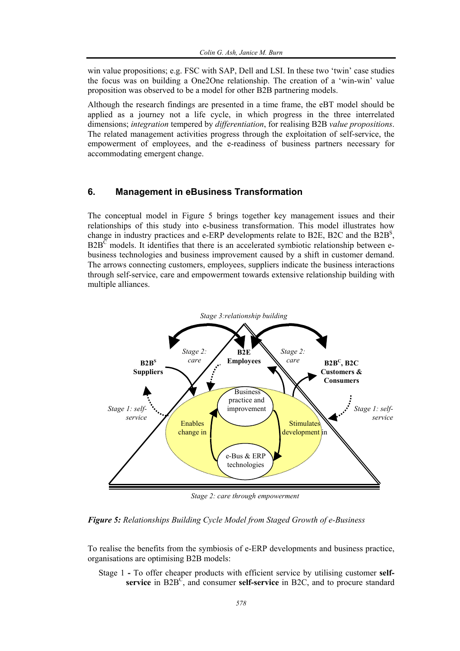win value propositions; e.g. FSC with SAP, Dell and LSI. In these two 'twin' case studies the focus was on building a One2One relationship. The creation of a 'win-win' value proposition was observed to be a model for other B2B partnering models.

Although the research findings are presented in a time frame, the eBT model should be applied as a journey not a life cycle, in which progress in the three interrelated dimensions; *integration* tempered by *differentiation*, for realising B2B *value propositions*. The related management activities progress through the exploitation of self-service, the empowerment of employees, and the e-readiness of business partners necessary for accommodating emergent change.

## **6. Management in eBusiness Transformation**

The conceptual model in Figure 5 brings together key management issues and their relationships of this study into e-business transformation. This model illustrates how change in industry practices and e-ERP developments relate to B2E, B2C and the B2B<sup>S</sup>,  $B2B^{\overline{C}}$  models. It identifies that there is an accelerated symbiotic relationship between ebusiness technologies and business improvement caused by a shift in customer demand. The arrows connecting customers, employees, suppliers indicate the business interactions through self-service, care and empowerment towards extensive relationship building with multiple alliances.



*Stage 2: care through empowerment* 

*Figure 5: Relationships Building Cycle Model from Staged Growth of e-Business* 

To realise the benefits from the symbiosis of e-ERP developments and business practice, organisations are optimising B2B models:

Stage 1 **-** To offer cheaper products with efficient service by utilising customer **self**service in  $B2B^C$ , and consumer self-service in  $B2C$ , and to procure standard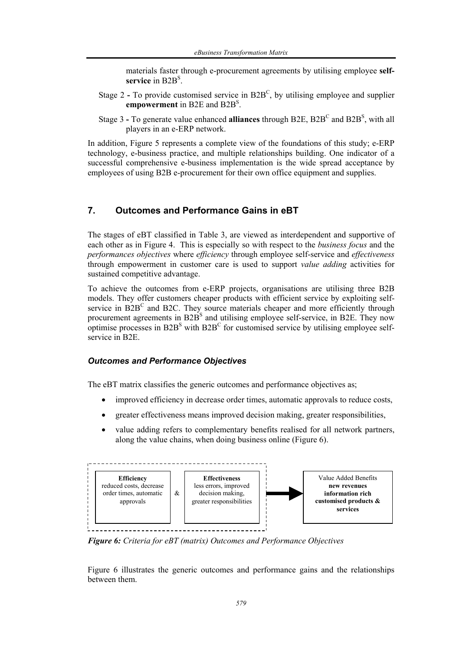materials faster through e-procurement agreements by utilising employee **self**service in B2B<sup>S</sup>.

- Stage 2 To provide customised service in B2B<sup>C</sup>, by utilising employee and supplier **empowerment** in B2E and B2BS .
- Stage 3 To generate value enhanced **alliances** through B2E, B2B<sup>C</sup> and B2B<sup>S</sup>, with all players in an e-ERP network.

In addition, Figure 5 represents a complete view of the foundations of this study; e-ERP technology, e-business practice, and multiple relationships building. One indicator of a successful comprehensive e-business implementation is the wide spread acceptance by employees of using B2B e-procurement for their own office equipment and supplies.

# **7. Outcomes and Performance Gains in eBT**

The stages of eBT classified in Table 3, are viewed as interdependent and supportive of each other as in Figure 4. This is especially so with respect to the *business focus* and the *performances objectives* where *efficiency* through employee self-service and *effectiveness* through empowerment in customer care is used to support *value adding* activities for sustained competitive advantage.

To achieve the outcomes from e-ERP projects, organisations are utilising three B2B models. They offer customers cheaper products with efficient service by exploiting selfservice in  $B2B<sup>C</sup>$  and B2C. They source materials cheaper and more efficiently through procurement agreements in  $B2B<sup>S</sup>$  and utilising employee self-service, in B2E. They now optimise processes in  $B2B<sup>S</sup>$  with  $B2B<sup>C</sup>$  for customised service by utilising employee selfservice in B2E.

#### *Outcomes and Performance Objectives*

The eBT matrix classifies the generic outcomes and performance objectives as;

- improved efficiency in decrease order times, automatic approvals to reduce costs,
- greater effectiveness means improved decision making, greater responsibilities,
- value adding refers to complementary benefits realised for all network partners, along the value chains, when doing business online (Figure 6).



*Figure 6: Criteria for eBT (matrix) Outcomes and Performance Objectives* 

Figure 6 illustrates the generic outcomes and performance gains and the relationships between them.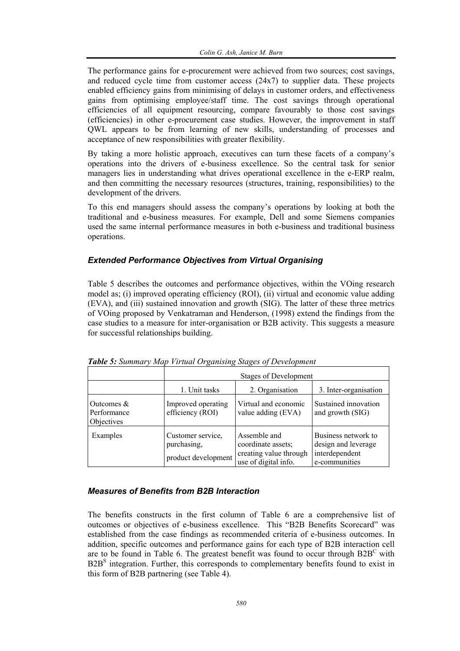The performance gains for e-procurement were achieved from two sources; cost savings, and reduced cycle time from customer access (24x7) to supplier data. These projects enabled efficiency gains from minimising of delays in customer orders, and effectiveness gains from optimising employee/staff time. The cost savings through operational efficiencies of all equipment resourcing, compare favourably to those cost savings (efficiencies) in other e-procurement case studies. However, the improvement in staff QWL appears to be from learning of new skills, understanding of processes and acceptance of new responsibilities with greater flexibility.

By taking a more holistic approach, executives can turn these facets of a company's operations into the drivers of e-business excellence. So the central task for senior managers lies in understanding what drives operational excellence in the e-ERP realm, and then committing the necessary resources (structures, training, responsibilities) to the development of the drivers.

To this end managers should assess the company's operations by looking at both the traditional and e-business measures. For example, Dell and some Siemens companies used the same internal performance measures in both e-business and traditional business operations.

## *Extended Performance Objectives from Virtual Organising*

Table 5 describes the outcomes and performance objectives, within the VOing research model as; (i) improved operating efficiency (ROI), (ii) virtual and economic value adding (EVA), and (iii) sustained innovation and growth (SIG). The latter of these three metrics of VOing proposed by Venkatraman and Henderson, (1998) extend the findings from the case studies to a measure for inter-organisation or B2B activity. This suggests a measure for successful relationships building.

|                                           | <b>Stages of Development</b>                            |                                                                                      |                                                                               |  |
|-------------------------------------------|---------------------------------------------------------|--------------------------------------------------------------------------------------|-------------------------------------------------------------------------------|--|
|                                           | 1. Unit tasks                                           | 2. Organisation                                                                      | 3. Inter-organisation                                                         |  |
| Outcomes $&$<br>Performance<br>Objectives | Improved operating<br>efficiency (ROI)                  | Virtual and economic<br>value adding (EVA)                                           | Sustained innovation<br>and growth (SIG)                                      |  |
| Examples                                  | Customer service,<br>purchasing,<br>product development | Assemble and<br>coordinate assets;<br>creating value through<br>use of digital info. | Business network to<br>design and leverage<br>interdependent<br>e-communities |  |

*Table 5: Summary Map Virtual Organising Stages of Development* 

#### *Measures of Benefits from B2B Interaction*

The benefits constructs in the first column of Table 6 are a comprehensive list of outcomes or objectives of e-business excellence. This "B2B Benefits Scorecard" was established from the case findings as recommended criteria of e-business outcomes. In addition, specific outcomes and performance gains for each type of B2B interaction cell are to be found in Table 6. The greatest benefit was found to occur through  $B2B^C$  with  $B2B<sup>S</sup>$  integration. Further, this corresponds to complementary benefits found to exist in this form of B2B partnering (see Table 4).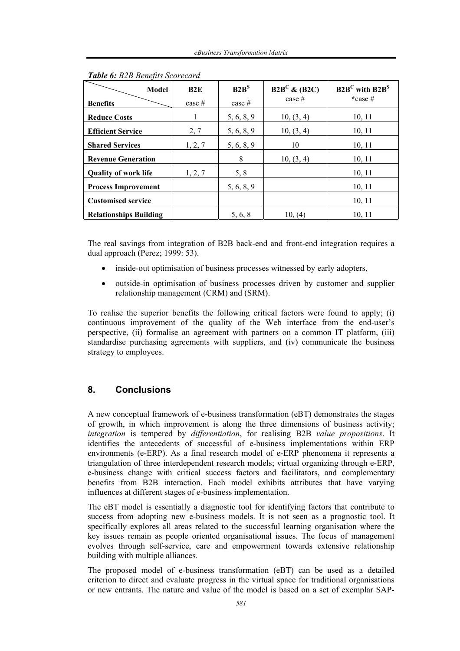| Model                         | B2E      | B2B <sup>S</sup> | $B2B^C \& (B2C)$<br>case $#$ | $B2B^C$ with $B2B^S$<br>$*case$ # |
|-------------------------------|----------|------------------|------------------------------|-----------------------------------|
| <b>Benefits</b>               | case $#$ | case $#$         |                              |                                   |
| <b>Reduce Costs</b>           | 1        | 5, 6, 8, 9       | 10, (3, 4)                   | 10, 11                            |
| <b>Efficient Service</b>      | 2, 7     | 5, 6, 8, 9       | 10, (3, 4)                   | 10, 11                            |
| <b>Shared Services</b>        | 1, 2, 7  | 5, 6, 8, 9       | 10                           | 10, 11                            |
| <b>Revenue Generation</b>     |          | 8                | 10, (3, 4)                   | 10, 11                            |
| <b>Quality of work life</b>   | 1, 2, 7  | 5, 8             |                              | 10, 11                            |
| <b>Process Improvement</b>    |          | 5, 6, 8, 9       |                              | 10, 11                            |
| <b>Customised service</b>     |          |                  |                              | 10, 11                            |
| <b>Relationships Building</b> |          | 5, 6, 8          | 10, (4)                      | 10, 11                            |

*Table 6: B2B Benefits Scorecard* 

The real savings from integration of B2B back-end and front-end integration requires a dual approach (Perez; 1999: 53).

- inside-out optimisation of business processes witnessed by early adopters,
- outside-in optimisation of business processes driven by customer and supplier relationship management (CRM) and (SRM).

To realise the superior benefits the following critical factors were found to apply; (i) continuous improvement of the quality of the Web interface from the end-user's perspective, (ii) formalise an agreement with partners on a common IT platform, (iii) standardise purchasing agreements with suppliers, and (iv) communicate the business strategy to employees.

# **8. Conclusions**

A new conceptual framework of e-business transformation (eBT) demonstrates the stages of growth, in which improvement is along the three dimensions of business activity; *integration* is tempered by *differentiation*, for realising B2B *value propositions*. It identifies the antecedents of successful of e-business implementations within ERP environments (e-ERP). As a final research model of e-ERP phenomena it represents a triangulation of three interdependent research models; virtual organizing through e-ERP, e-business change with critical success factors and facilitators, and complementary benefits from B2B interaction. Each model exhibits attributes that have varying influences at different stages of e-business implementation.

The eBT model is essentially a diagnostic tool for identifying factors that contribute to success from adopting new e-business models. It is not seen as a prognostic tool. It specifically explores all areas related to the successful learning organisation where the key issues remain as people oriented organisational issues. The focus of management evolves through self-service, care and empowerment towards extensive relationship building with multiple alliances.

The proposed model of e-business transformation (eBT) can be used as a detailed criterion to direct and evaluate progress in the virtual space for traditional organisations or new entrants. The nature and value of the model is based on a set of exemplar SAP-